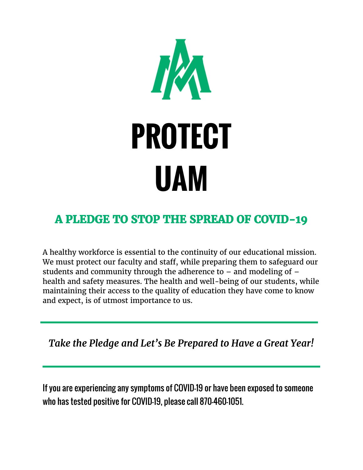

## *A PLEDGE TO STOP THE SPREAD OF COVID-19*

A healthy workforce is essential to the continuity of our educational mission. We must protect our faculty and staff, while preparing them to safeguard our students and community through the adherence to – and modeling of – health and safety measures. The health and well-being of our students, while maintaining their access to the quality of education they have come to know and expect, is of utmost importance to us.

*Take the Pledge and Let's Be Prepared to Have a Great Year!*

If you are experiencing any symptoms of COVID-19 or have been exposed to someone who has tested positive for COVID-19, please call 870-460-1051.